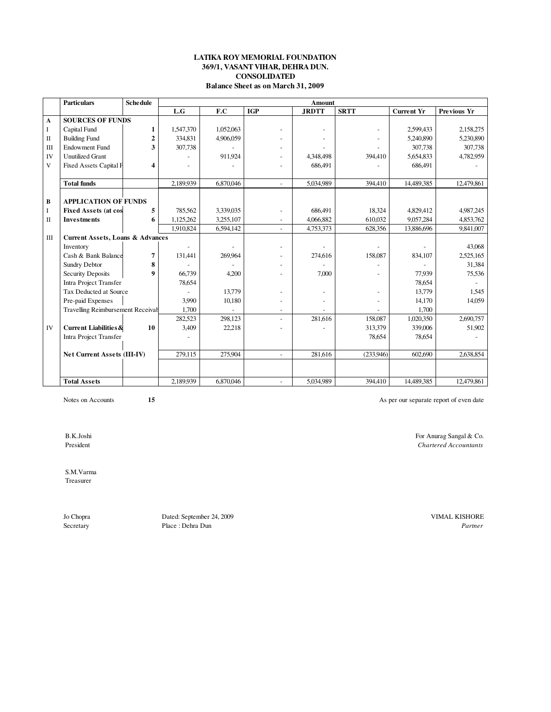### **LATIKA ROY MEMORIAL FOUNDATION 369/1, VASANT VIHAR, DEHRA DUN. CONSOLIDATED Balance Sheet as on March 31, 2009**

|              | <b>Particulars</b>                          | <b>Schedule</b> | <b>Amount</b> |           |                |              |             |                   |             |  |
|--------------|---------------------------------------------|-----------------|---------------|-----------|----------------|--------------|-------------|-------------------|-------------|--|
|              |                                             |                 | L.G           | F.C       | <b>IGP</b>     | <b>JRDTT</b> | <b>SRTT</b> | <b>Current Yr</b> | Previous Yr |  |
| $\mathbf{A}$ | <b>SOURCES OF FUNDS</b>                     |                 |               |           |                |              |             |                   |             |  |
| $\bf{I}$     | Capital Fund                                | 1               | 1,547,370     | 1,052,063 |                |              |             | 2,599,433         | 2,158,275   |  |
| $\mathbf{I}$ | <b>Building Fund</b>                        | $\overline{2}$  | 334,831       | 4,906,059 |                |              |             | 5,240,890         | 5,230,890   |  |
| III          | <b>Endowment Fund</b>                       | 3               | 307,738       |           |                |              |             | 307,738           | 307,738     |  |
| IV           | <b>Unutilized Grant</b>                     |                 |               | 911,924   |                | 4,348,498    | 394,410     | 5,654,833         | 4,782,959   |  |
| V            | <b>Fixed Assets Capital F</b>               | 4               |               |           |                | 686,491      |             | 686,491           |             |  |
|              |                                             |                 |               |           |                |              |             |                   |             |  |
|              | <b>Total funds</b>                          |                 | 2,189,939     | 6,870,046 | ÷.             | 5,034,989    | 394,410     | 14,489,385        | 12,479,861  |  |
|              |                                             |                 |               |           |                |              |             |                   |             |  |
| $\, {\bf B}$ | <b>APPLICATION OF FUNDS</b>                 |                 |               |           |                |              |             |                   |             |  |
| $\bf I$      | <b>Fixed Assets (at cos</b>                 | 5               | 785,562       | 3,339,035 |                | 686,491      | 18,324      | 4,829,412         | 4,987,245   |  |
| $\mathbf{I}$ | <b>Investments</b>                          | 6               | 1,125,262     | 3,255,107 |                | 4,066,882    | 610.032     | 9,057,284         | 4,853,762   |  |
|              |                                             |                 | 1,910,824     | 6,594,142 | $\blacksquare$ | 4,753,373    | 628,356     | 13,886,696        | 9,841,007   |  |
| $\rm III$    | <b>Current Assets, Loans &amp; Advances</b> |                 |               |           |                |              |             |                   |             |  |
|              | Inventory                                   |                 |               |           |                |              |             |                   | 43,068      |  |
|              | Cash & Bank Balance                         | 7               | 131,441       | 269,964   |                | 274,616      | 158,087     | 834,107           | 2,525,165   |  |
|              | Sundry Debtor                               | 8               |               |           |                |              |             |                   | 31,384      |  |
|              | <b>Security Deposits</b>                    | 9               | 66,739        | 4,200     |                | 7,000        |             | 77,939            | 75,536      |  |
|              | Intra Project Transfer                      |                 | 78,654        |           |                |              |             | 78,654            |             |  |
|              | Tax Deducted at Source                      |                 |               | 13,779    |                |              |             | 13,779            | 1.545       |  |
|              | Pre-paid Expenses                           |                 | 3.990         | 10,180    | ٠              |              |             | 14,170            | 14,059      |  |
|              | Travelling Reimbursement Receival           |                 | 1.700         |           |                |              |             | 1.700             |             |  |
|              |                                             |                 | 282,523       | 298,123   | $\overline{a}$ | 281,616      | 158,087     | 1,020,350         | 2,690,757   |  |
| IV           | <b>Current Liabilities &amp;</b>            | 10              | 3,409         | 22,218    |                |              | 313,379     | 339,006           | 51.902      |  |
|              | Intra Project Transfer                      |                 |               |           |                |              | 78,654      | 78,654            |             |  |
|              |                                             |                 |               |           |                |              |             |                   |             |  |
|              | Net Current Assets (III-IV)                 |                 | 279,115       | 275,904   | $\sim$         | 281.616      | (233.946)   | 602,690           | 2,638,854   |  |
|              |                                             |                 |               |           |                |              |             |                   |             |  |
|              |                                             |                 |               |           |                |              |             |                   |             |  |
|              | <b>Total Assets</b>                         |                 | 2,189,939     | 6,870,046 |                | 5,034,989    | 394,410     | 14,489,385        | 12,479,861  |  |

Notes on Accounts **15 15** As per our separate report of even date

B.K.Joshi For Anurag Sangal & Co.<br>
President Chartered Accountants

S.M.Varma

Treasurer

Jo Chopra Dated: September 24, 2009 VIMAL KISHORE Place : Dehra Dun

 $$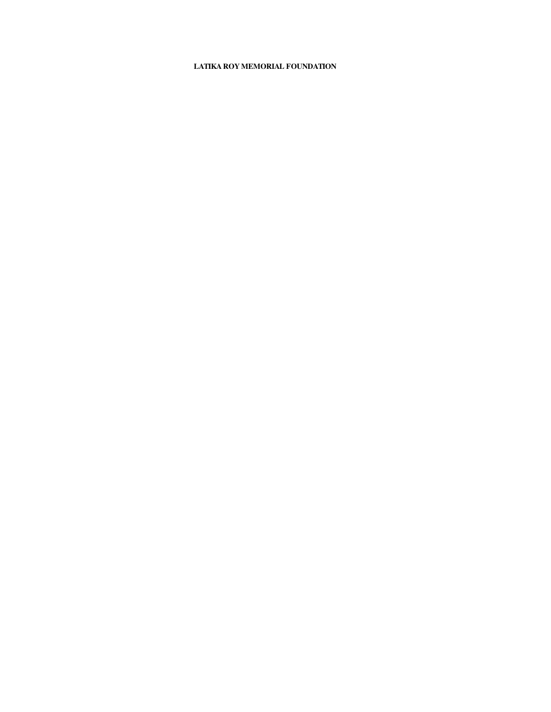## **LATIKA ROY MEMORIAL FOUNDATION**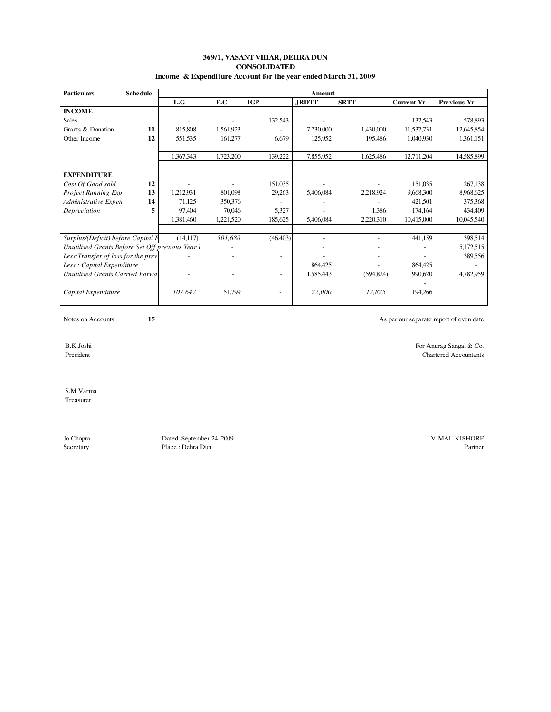### **369/1, VASANT VIHAR, DEHRA DUN Income & Expenditure Account for the year ended March 31, 2009 CONSOLIDATED**

| <b>Particulars</b>                             | <b>Schedule</b> | <b>Amount</b> |           |            |              |             |                   |             |  |  |
|------------------------------------------------|-----------------|---------------|-----------|------------|--------------|-------------|-------------------|-------------|--|--|
|                                                |                 | L.G           | F.C       | <b>IGP</b> | <b>JRDTT</b> | <b>SRTT</b> | <b>Current Yr</b> | Previous Yr |  |  |
| <b>INCOME</b>                                  |                 |               |           |            |              |             |                   |             |  |  |
| <b>Sales</b>                                   |                 |               |           | 132,543    |              |             | 132,543           | 578,893     |  |  |
| Grants & Donation                              | 11              | 815,808       | 1,561,923 |            | 7,730,000    | 1,430,000   | 11,537,731        | 12,645,854  |  |  |
| Other Income                                   | 12              | 551,535       | 161,277   | 6,679      | 125,952      | 195,486     | 1,040,930         | 1,361,151   |  |  |
|                                                |                 |               |           |            |              |             |                   |             |  |  |
|                                                |                 | 1,367,343     | 1,723,200 | 139,222    | 7,855,952    | 1,625,486   | 12,711,204        | 14,585,899  |  |  |
|                                                |                 |               |           |            |              |             |                   |             |  |  |
| <b>EXPENDITURE</b>                             |                 |               |           |            |              |             |                   |             |  |  |
| Cost Of Good sold                              | 12              |               |           | 151,035    |              |             | 151,035           | 267,138     |  |  |
| Project Running Exp                            | 13              | 1,212,931     | 801,098   | 29,263     | 5,406,084    | 2,218,924   | 9,668,300         | 8,968,625   |  |  |
| Administrative Expen                           | 14              | 71,125        | 350,376   |            |              |             | 421,501           | 375,368     |  |  |
| Depreciation                                   | 5               | 97,404        | 70,046    | 5,327      |              | 1.386       | 174,164           | 434,409     |  |  |
|                                                |                 | 1,381,460     | 1,221,520 | 185,625    | 5,406,084    | 2,220,310   | 10,415,000        | 10,045,540  |  |  |
|                                                |                 |               |           |            |              |             |                   |             |  |  |
| Surplus/(Deficit) before Capital E             |                 | (14, 117)     | 501,680   | (46, 403)  | ۰            |             | 441,159           | 398,514     |  |  |
| Unutilised Grants Before Set Off previous Year |                 |               |           |            |              |             |                   | 5,172,515   |  |  |
| Less: Transfer of loss for the previ           |                 |               |           |            |              |             | 389,556           |             |  |  |
| Less: Capital Expenditure                      |                 |               |           | 864,425    |              | 864,425     |                   |             |  |  |
| Unutilised Grants Carried Forwal               |                 |               |           |            | 1,585,443    | (594, 824)  | 990,620           | 4,782,959   |  |  |
|                                                |                 |               |           |            |              |             |                   |             |  |  |
| Capital Expenditure                            |                 | 107,642       | 51,799    |            | 22,000       | 12,825      | 194,266           |             |  |  |
|                                                |                 |               |           |            |              |             |                   |             |  |  |

Notes on Accounts **15 15** As per our separate report of even date

B.K.Joshi For Anurag Sangal & Co.<br>
President Contract Accountants Chartered Accountants

 S.M.Varma Treasurer

Jo Chopra Dated: September 24, 2009 VIMAL KISHORE Place : Dehra Dun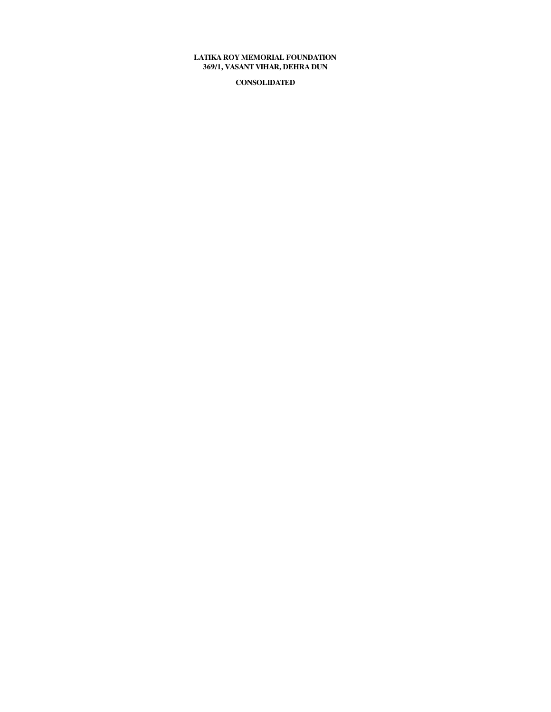## **369/1, VASANT VIHAR, DEHRA DUN LATIKA ROY MEMORIAL FOUNDATION**

**CONSOLIDATED**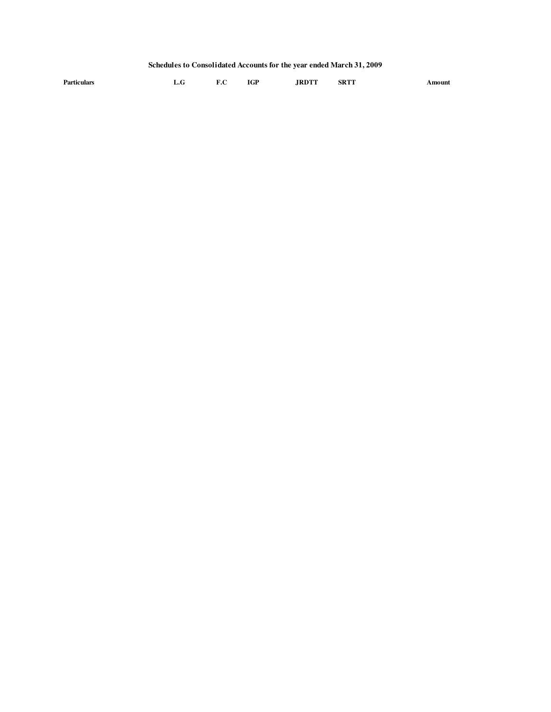# **Schedules to Consolidated Accounts for the year ended March 31, 2009**

| Particulars | L.G | F.C | <b>IGP</b> | <b>JRDTT</b> | <b>SRTT</b> | Amount |
|-------------|-----|-----|------------|--------------|-------------|--------|
|-------------|-----|-----|------------|--------------|-------------|--------|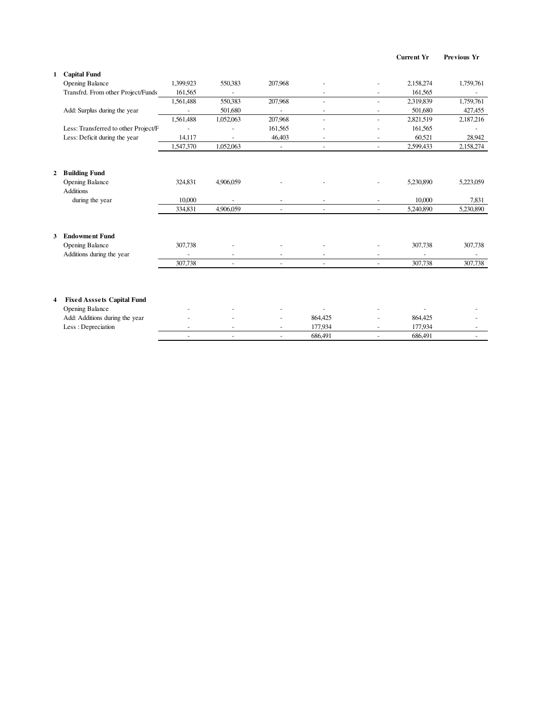| Current Yr | Previous Yr |  |
|------------|-------------|--|
|------------|-------------|--|

| 1              | <b>Capital Fund</b>                  |                |                |                          |                          |                          |           |           |
|----------------|--------------------------------------|----------------|----------------|--------------------------|--------------------------|--------------------------|-----------|-----------|
|                | <b>Opening Balance</b>               | 1,399,923      | 550,383        | 207,968                  |                          |                          | 2,158,274 | 1,759,761 |
|                | Transfrd. From other Project/Funds   | 161,565        | ÷,             |                          |                          |                          | 161,565   |           |
|                |                                      | 1,561,488      | 550,383        | 207,968                  | $\overline{\phantom{a}}$ | $\overline{\phantom{a}}$ | 2,319,839 | 1,759,761 |
|                | Add: Surplus during the year         | ÷.             | 501,680        | $\overline{a}$           | $\overline{\phantom{a}}$ | $\overline{\phantom{a}}$ | 501,680   | 427,455   |
|                |                                      | 1,561,488      | 1,052,063      | 207,968                  | ÷,                       | $\blacksquare$           | 2,821,519 | 2,187,216 |
|                | Less: Transferred to other Project/F | $\overline{a}$ |                | 161,565                  |                          | $\overline{\phantom{a}}$ | 161,565   |           |
|                | Less: Deficit during the year        | 14,117         |                | 46,403                   | $\overline{\phantom{a}}$ | $\overline{\phantom{a}}$ | 60,521    | 28,942    |
|                |                                      | 1,547,370      | 1,052,063      | $\overline{\phantom{a}}$ | $\blacksquare$           | $\blacksquare$           | 2,599,433 | 2,158,274 |
| $\overline{2}$ | <b>Building Fund</b>                 |                |                |                          |                          |                          |           |           |
|                | <b>Opening Balance</b>               | 324,831        | 4,906,059      |                          |                          |                          | 5,230,890 | 5,223,059 |
|                | <b>Additions</b>                     |                |                |                          |                          |                          |           |           |
|                | during the year                      | 10,000         |                |                          |                          | $\overline{\phantom{a}}$ | 10,000    | 7,831     |
|                |                                      | 334,831        | 4,906,059      | $\sim$                   | $\blacksquare$           | $\blacksquare$           | 5,240,890 | 5,230,890 |
|                |                                      |                |                |                          |                          |                          |           |           |
| 3              | <b>Endowment Fund</b>                |                |                |                          |                          |                          |           |           |
|                | <b>Opening Balance</b>               | 307,738        |                |                          |                          |                          | 307,738   | 307,738   |
|                | Additions during the year            |                | $\overline{a}$ | $\overline{\phantom{a}}$ | $\overline{\phantom{a}}$ | $\blacksquare$           |           |           |
|                |                                      | 307,738        | ÷              | $\sim$                   | $\sim$                   | $\overline{\phantom{a}}$ | 307,738   | 307,738   |
|                |                                      |                |                |                          |                          |                          |           |           |
| 4              | <b>Fixed Asssets Capital Fund</b>    |                |                |                          |                          |                          |           |           |
|                | Opening Balance                      |                |                |                          |                          |                          |           |           |
|                | Add: Additions during the year       |                |                |                          | 864,425                  |                          | 864,425   |           |
|                | Less: Depreciation                   |                |                |                          | 177,934                  |                          | 177,934   |           |
|                |                                      | ÷,             | $\overline{a}$ | $\overline{a}$           | 686,491                  | $\overline{a}$           | 686,491   |           |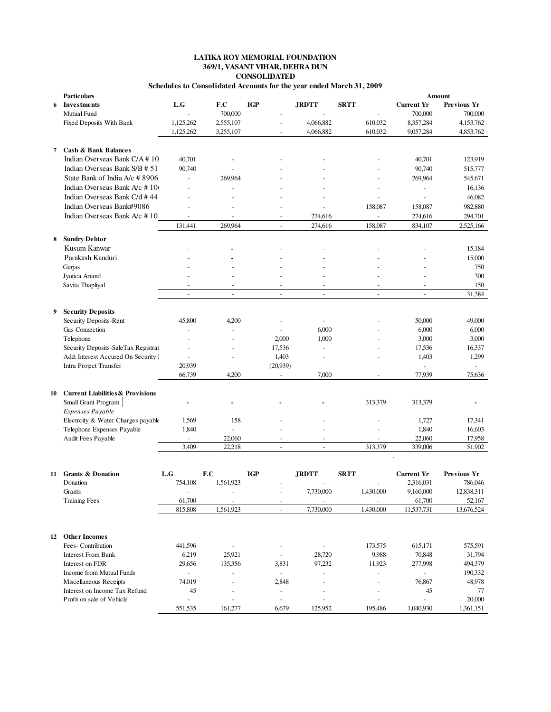### **LATIKA ROY MEMORIAL FOUNDATION CONSOLIDATED Schedules to Consolidated Accounts for the year ended March 31, 2009 369/1, VASANT VIHAR, DEHRA DUN**

| F.C<br>L.G<br><b>IGP</b><br><b>JRDTT</b><br><b>SRTT</b><br><b>Current Yr</b><br>Previous Yr<br>Investments<br>6<br>700,000<br>700,000<br>700,000<br><b>Mutual Fund</b><br>1,125,262<br>2,555,107<br>4,066,882<br>610,032<br>8,357,284<br>4,153,762<br>Fixed Deposits With Bank<br>1,125,262<br>3,255,107<br>4,066,882<br>610,032<br>9,057,284<br>4,853,762<br><b>Cash &amp; Bank Balances</b><br>7<br>Indian Overseas Bank C/A #10<br>40,701<br>123,919<br>40,701<br>Indian Overseas Bank S/B # 51<br>90,740<br>90,740<br>515,777<br>State Bank of India A/c # 8906<br>269,964<br>545,671<br>269,964<br>$\blacksquare$<br>Indian Overseas Bank A/c # 10<br>16,136<br>$\overline{a}$<br>Indian Overseas Bank C/d #44<br>46,082<br>Indian Overseas Bank#9086<br>982,880<br>158,087<br>158,087<br>Indian Overseas Bank A/c #10<br>274,616<br>274,616<br>294,701<br>$\overline{\phantom{a}}$<br>$\overline{a}$<br>131,441<br>269,964<br>274,616<br>158,087<br>834,107<br>2,525,166<br><b>Sundry Debtor</b><br>8<br>Kusum Kanwar<br>15,184<br>Parakash Kanduri<br>15,000<br>Gurjas<br>750<br>300<br>Jyotica Anand<br>Savita Thapliyal<br>150<br>÷,<br>$\overline{\phantom{a}}$<br>$\overline{a}$<br>31,384<br>$\sim$<br>$\overline{a}$<br>$\overline{a}$<br>$\overline{\phantom{a}}$<br>$\overline{\phantom{a}}$<br>$\overline{a}$<br><b>Security Deposits</b><br>9<br>Security Deposits-Rent<br>45,800<br>4,200<br>50,000<br>49,000<br>Gas Connection<br>6,000<br>6,000<br>6,000<br>÷,<br>2,000<br>1,000<br>3,000<br>3,000<br>Telephone<br>17,536<br>17,536<br>Security Deposits-SaleTax Registrat<br>16,337<br>1,403<br>1,403<br>Add: Interest Accured On Security  <br>1,299<br>$\sim$<br>$\overline{\phantom{a}}$<br>20,939<br>(20,939)<br>Intra Project Transfer<br>$\blacksquare$<br>66,739<br>4,200<br>7,000<br>77,939<br>75,636<br>$\overline{a}$<br>$\sim$<br><b>Current Liabilities &amp; Provisions</b><br>10<br>Small Grant Program<br>313,379<br>313,379<br>Expenses Payable<br>Electrcity & Water Charges payabk<br>1,569<br>158<br>1,727<br>17,341<br>1,840<br>16,603<br>Telephone Expenses Payable<br>1,840<br>Audit Fees Payable<br>22,060<br>22,060<br>17,958<br>3,409<br>22,218<br>313,379<br>51,902<br>339,006<br>$\overline{\phantom{a}}$<br>$\blacksquare$<br><b>Grants &amp; Donation</b><br>L.G<br>F.C<br><b>IGP</b><br><b>JRDTT</b><br><b>SRTT</b><br><b>Current Yr</b><br>Previous Yr<br>11<br>754,108<br>1,561,923<br>2,316,031<br>786,046<br>Donation<br>7,730,000<br>1,430,000<br>9,160,000<br>12,838,311<br>Grants<br>61,700<br>61,700<br>52,167<br><b>Training Fees</b><br>$\overline{\phantom{a}}$<br>$\overline{\phantom{a}}$<br>815,808<br>7,730,000<br>1,561,923<br>1,430,000<br>11,537,731<br>13,676,524<br>$\overline{a}$<br>12 Other Incomes<br>Fees- Contribution<br>615,171<br>441,596<br>173,575<br>575,591<br>6,219<br>25,921<br>9,988<br>70,848<br>31,794<br><b>Interest From Bank</b><br>28,720<br>Interest on FDR<br>29,656<br>135,356<br>97,232<br>11,923<br>277,998<br>494,379<br>3,831<br>Income from Mutual Funds<br>190,332<br>$\equiv$<br>$\overline{\phantom{a}}$<br>$\overline{a}$<br>Miscellaneous Receipts<br>74,019<br>76,867<br>48,978<br>2,848<br>Interest on Income Tax Refund<br>45<br>45<br>77<br>÷,<br>Profit on sale of Vehicle<br>20,000<br>551,535<br>161,277<br>6,679<br>125,952<br>195,486<br>1,040,930<br>1,361,151 | <b>Particulars</b> |  |  |  |  | Amount |
|------------------------------------------------------------------------------------------------------------------------------------------------------------------------------------------------------------------------------------------------------------------------------------------------------------------------------------------------------------------------------------------------------------------------------------------------------------------------------------------------------------------------------------------------------------------------------------------------------------------------------------------------------------------------------------------------------------------------------------------------------------------------------------------------------------------------------------------------------------------------------------------------------------------------------------------------------------------------------------------------------------------------------------------------------------------------------------------------------------------------------------------------------------------------------------------------------------------------------------------------------------------------------------------------------------------------------------------------------------------------------------------------------------------------------------------------------------------------------------------------------------------------------------------------------------------------------------------------------------------------------------------------------------------------------------------------------------------------------------------------------------------------------------------------------------------------------------------------------------------------------------------------------------------------------------------------------------------------------------------------------------------------------------------------------------------------------------------------------------------------------------------------------------------------------------------------------------------------------------------------------------------------------------------------------------------------------------------------------------------------------------------------------------------------------------------------------------------------------------------------------------------------------------------------------------------------------------------------------------------------------------------------------------------------------------------------------------------------------------------------------------------------------------------------------------------------------------------------------------------------------------------------------------------------------------------------------------------------------------------------------------------------------------------------------------------------------------------------------------------------------------------------------------------------------------------------------------------------------------------------------------------------------------------------------------------------------------------------------------------------------------|--------------------|--|--|--|--|--------|
|                                                                                                                                                                                                                                                                                                                                                                                                                                                                                                                                                                                                                                                                                                                                                                                                                                                                                                                                                                                                                                                                                                                                                                                                                                                                                                                                                                                                                                                                                                                                                                                                                                                                                                                                                                                                                                                                                                                                                                                                                                                                                                                                                                                                                                                                                                                                                                                                                                                                                                                                                                                                                                                                                                                                                                                                                                                                                                                                                                                                                                                                                                                                                                                                                                                                                                                                                                                    |                    |  |  |  |  |        |
|                                                                                                                                                                                                                                                                                                                                                                                                                                                                                                                                                                                                                                                                                                                                                                                                                                                                                                                                                                                                                                                                                                                                                                                                                                                                                                                                                                                                                                                                                                                                                                                                                                                                                                                                                                                                                                                                                                                                                                                                                                                                                                                                                                                                                                                                                                                                                                                                                                                                                                                                                                                                                                                                                                                                                                                                                                                                                                                                                                                                                                                                                                                                                                                                                                                                                                                                                                                    |                    |  |  |  |  |        |
|                                                                                                                                                                                                                                                                                                                                                                                                                                                                                                                                                                                                                                                                                                                                                                                                                                                                                                                                                                                                                                                                                                                                                                                                                                                                                                                                                                                                                                                                                                                                                                                                                                                                                                                                                                                                                                                                                                                                                                                                                                                                                                                                                                                                                                                                                                                                                                                                                                                                                                                                                                                                                                                                                                                                                                                                                                                                                                                                                                                                                                                                                                                                                                                                                                                                                                                                                                                    |                    |  |  |  |  |        |
|                                                                                                                                                                                                                                                                                                                                                                                                                                                                                                                                                                                                                                                                                                                                                                                                                                                                                                                                                                                                                                                                                                                                                                                                                                                                                                                                                                                                                                                                                                                                                                                                                                                                                                                                                                                                                                                                                                                                                                                                                                                                                                                                                                                                                                                                                                                                                                                                                                                                                                                                                                                                                                                                                                                                                                                                                                                                                                                                                                                                                                                                                                                                                                                                                                                                                                                                                                                    |                    |  |  |  |  |        |
|                                                                                                                                                                                                                                                                                                                                                                                                                                                                                                                                                                                                                                                                                                                                                                                                                                                                                                                                                                                                                                                                                                                                                                                                                                                                                                                                                                                                                                                                                                                                                                                                                                                                                                                                                                                                                                                                                                                                                                                                                                                                                                                                                                                                                                                                                                                                                                                                                                                                                                                                                                                                                                                                                                                                                                                                                                                                                                                                                                                                                                                                                                                                                                                                                                                                                                                                                                                    |                    |  |  |  |  |        |
|                                                                                                                                                                                                                                                                                                                                                                                                                                                                                                                                                                                                                                                                                                                                                                                                                                                                                                                                                                                                                                                                                                                                                                                                                                                                                                                                                                                                                                                                                                                                                                                                                                                                                                                                                                                                                                                                                                                                                                                                                                                                                                                                                                                                                                                                                                                                                                                                                                                                                                                                                                                                                                                                                                                                                                                                                                                                                                                                                                                                                                                                                                                                                                                                                                                                                                                                                                                    |                    |  |  |  |  |        |
|                                                                                                                                                                                                                                                                                                                                                                                                                                                                                                                                                                                                                                                                                                                                                                                                                                                                                                                                                                                                                                                                                                                                                                                                                                                                                                                                                                                                                                                                                                                                                                                                                                                                                                                                                                                                                                                                                                                                                                                                                                                                                                                                                                                                                                                                                                                                                                                                                                                                                                                                                                                                                                                                                                                                                                                                                                                                                                                                                                                                                                                                                                                                                                                                                                                                                                                                                                                    |                    |  |  |  |  |        |
|                                                                                                                                                                                                                                                                                                                                                                                                                                                                                                                                                                                                                                                                                                                                                                                                                                                                                                                                                                                                                                                                                                                                                                                                                                                                                                                                                                                                                                                                                                                                                                                                                                                                                                                                                                                                                                                                                                                                                                                                                                                                                                                                                                                                                                                                                                                                                                                                                                                                                                                                                                                                                                                                                                                                                                                                                                                                                                                                                                                                                                                                                                                                                                                                                                                                                                                                                                                    |                    |  |  |  |  |        |
|                                                                                                                                                                                                                                                                                                                                                                                                                                                                                                                                                                                                                                                                                                                                                                                                                                                                                                                                                                                                                                                                                                                                                                                                                                                                                                                                                                                                                                                                                                                                                                                                                                                                                                                                                                                                                                                                                                                                                                                                                                                                                                                                                                                                                                                                                                                                                                                                                                                                                                                                                                                                                                                                                                                                                                                                                                                                                                                                                                                                                                                                                                                                                                                                                                                                                                                                                                                    |                    |  |  |  |  |        |
|                                                                                                                                                                                                                                                                                                                                                                                                                                                                                                                                                                                                                                                                                                                                                                                                                                                                                                                                                                                                                                                                                                                                                                                                                                                                                                                                                                                                                                                                                                                                                                                                                                                                                                                                                                                                                                                                                                                                                                                                                                                                                                                                                                                                                                                                                                                                                                                                                                                                                                                                                                                                                                                                                                                                                                                                                                                                                                                                                                                                                                                                                                                                                                                                                                                                                                                                                                                    |                    |  |  |  |  |        |
|                                                                                                                                                                                                                                                                                                                                                                                                                                                                                                                                                                                                                                                                                                                                                                                                                                                                                                                                                                                                                                                                                                                                                                                                                                                                                                                                                                                                                                                                                                                                                                                                                                                                                                                                                                                                                                                                                                                                                                                                                                                                                                                                                                                                                                                                                                                                                                                                                                                                                                                                                                                                                                                                                                                                                                                                                                                                                                                                                                                                                                                                                                                                                                                                                                                                                                                                                                                    |                    |  |  |  |  |        |
|                                                                                                                                                                                                                                                                                                                                                                                                                                                                                                                                                                                                                                                                                                                                                                                                                                                                                                                                                                                                                                                                                                                                                                                                                                                                                                                                                                                                                                                                                                                                                                                                                                                                                                                                                                                                                                                                                                                                                                                                                                                                                                                                                                                                                                                                                                                                                                                                                                                                                                                                                                                                                                                                                                                                                                                                                                                                                                                                                                                                                                                                                                                                                                                                                                                                                                                                                                                    |                    |  |  |  |  |        |
|                                                                                                                                                                                                                                                                                                                                                                                                                                                                                                                                                                                                                                                                                                                                                                                                                                                                                                                                                                                                                                                                                                                                                                                                                                                                                                                                                                                                                                                                                                                                                                                                                                                                                                                                                                                                                                                                                                                                                                                                                                                                                                                                                                                                                                                                                                                                                                                                                                                                                                                                                                                                                                                                                                                                                                                                                                                                                                                                                                                                                                                                                                                                                                                                                                                                                                                                                                                    |                    |  |  |  |  |        |
|                                                                                                                                                                                                                                                                                                                                                                                                                                                                                                                                                                                                                                                                                                                                                                                                                                                                                                                                                                                                                                                                                                                                                                                                                                                                                                                                                                                                                                                                                                                                                                                                                                                                                                                                                                                                                                                                                                                                                                                                                                                                                                                                                                                                                                                                                                                                                                                                                                                                                                                                                                                                                                                                                                                                                                                                                                                                                                                                                                                                                                                                                                                                                                                                                                                                                                                                                                                    |                    |  |  |  |  |        |
|                                                                                                                                                                                                                                                                                                                                                                                                                                                                                                                                                                                                                                                                                                                                                                                                                                                                                                                                                                                                                                                                                                                                                                                                                                                                                                                                                                                                                                                                                                                                                                                                                                                                                                                                                                                                                                                                                                                                                                                                                                                                                                                                                                                                                                                                                                                                                                                                                                                                                                                                                                                                                                                                                                                                                                                                                                                                                                                                                                                                                                                                                                                                                                                                                                                                                                                                                                                    |                    |  |  |  |  |        |
|                                                                                                                                                                                                                                                                                                                                                                                                                                                                                                                                                                                                                                                                                                                                                                                                                                                                                                                                                                                                                                                                                                                                                                                                                                                                                                                                                                                                                                                                                                                                                                                                                                                                                                                                                                                                                                                                                                                                                                                                                                                                                                                                                                                                                                                                                                                                                                                                                                                                                                                                                                                                                                                                                                                                                                                                                                                                                                                                                                                                                                                                                                                                                                                                                                                                                                                                                                                    |                    |  |  |  |  |        |
|                                                                                                                                                                                                                                                                                                                                                                                                                                                                                                                                                                                                                                                                                                                                                                                                                                                                                                                                                                                                                                                                                                                                                                                                                                                                                                                                                                                                                                                                                                                                                                                                                                                                                                                                                                                                                                                                                                                                                                                                                                                                                                                                                                                                                                                                                                                                                                                                                                                                                                                                                                                                                                                                                                                                                                                                                                                                                                                                                                                                                                                                                                                                                                                                                                                                                                                                                                                    |                    |  |  |  |  |        |
|                                                                                                                                                                                                                                                                                                                                                                                                                                                                                                                                                                                                                                                                                                                                                                                                                                                                                                                                                                                                                                                                                                                                                                                                                                                                                                                                                                                                                                                                                                                                                                                                                                                                                                                                                                                                                                                                                                                                                                                                                                                                                                                                                                                                                                                                                                                                                                                                                                                                                                                                                                                                                                                                                                                                                                                                                                                                                                                                                                                                                                                                                                                                                                                                                                                                                                                                                                                    |                    |  |  |  |  |        |
|                                                                                                                                                                                                                                                                                                                                                                                                                                                                                                                                                                                                                                                                                                                                                                                                                                                                                                                                                                                                                                                                                                                                                                                                                                                                                                                                                                                                                                                                                                                                                                                                                                                                                                                                                                                                                                                                                                                                                                                                                                                                                                                                                                                                                                                                                                                                                                                                                                                                                                                                                                                                                                                                                                                                                                                                                                                                                                                                                                                                                                                                                                                                                                                                                                                                                                                                                                                    |                    |  |  |  |  |        |
|                                                                                                                                                                                                                                                                                                                                                                                                                                                                                                                                                                                                                                                                                                                                                                                                                                                                                                                                                                                                                                                                                                                                                                                                                                                                                                                                                                                                                                                                                                                                                                                                                                                                                                                                                                                                                                                                                                                                                                                                                                                                                                                                                                                                                                                                                                                                                                                                                                                                                                                                                                                                                                                                                                                                                                                                                                                                                                                                                                                                                                                                                                                                                                                                                                                                                                                                                                                    |                    |  |  |  |  |        |
|                                                                                                                                                                                                                                                                                                                                                                                                                                                                                                                                                                                                                                                                                                                                                                                                                                                                                                                                                                                                                                                                                                                                                                                                                                                                                                                                                                                                                                                                                                                                                                                                                                                                                                                                                                                                                                                                                                                                                                                                                                                                                                                                                                                                                                                                                                                                                                                                                                                                                                                                                                                                                                                                                                                                                                                                                                                                                                                                                                                                                                                                                                                                                                                                                                                                                                                                                                                    |                    |  |  |  |  |        |
|                                                                                                                                                                                                                                                                                                                                                                                                                                                                                                                                                                                                                                                                                                                                                                                                                                                                                                                                                                                                                                                                                                                                                                                                                                                                                                                                                                                                                                                                                                                                                                                                                                                                                                                                                                                                                                                                                                                                                                                                                                                                                                                                                                                                                                                                                                                                                                                                                                                                                                                                                                                                                                                                                                                                                                                                                                                                                                                                                                                                                                                                                                                                                                                                                                                                                                                                                                                    |                    |  |  |  |  |        |
|                                                                                                                                                                                                                                                                                                                                                                                                                                                                                                                                                                                                                                                                                                                                                                                                                                                                                                                                                                                                                                                                                                                                                                                                                                                                                                                                                                                                                                                                                                                                                                                                                                                                                                                                                                                                                                                                                                                                                                                                                                                                                                                                                                                                                                                                                                                                                                                                                                                                                                                                                                                                                                                                                                                                                                                                                                                                                                                                                                                                                                                                                                                                                                                                                                                                                                                                                                                    |                    |  |  |  |  |        |
|                                                                                                                                                                                                                                                                                                                                                                                                                                                                                                                                                                                                                                                                                                                                                                                                                                                                                                                                                                                                                                                                                                                                                                                                                                                                                                                                                                                                                                                                                                                                                                                                                                                                                                                                                                                                                                                                                                                                                                                                                                                                                                                                                                                                                                                                                                                                                                                                                                                                                                                                                                                                                                                                                                                                                                                                                                                                                                                                                                                                                                                                                                                                                                                                                                                                                                                                                                                    |                    |  |  |  |  |        |
|                                                                                                                                                                                                                                                                                                                                                                                                                                                                                                                                                                                                                                                                                                                                                                                                                                                                                                                                                                                                                                                                                                                                                                                                                                                                                                                                                                                                                                                                                                                                                                                                                                                                                                                                                                                                                                                                                                                                                                                                                                                                                                                                                                                                                                                                                                                                                                                                                                                                                                                                                                                                                                                                                                                                                                                                                                                                                                                                                                                                                                                                                                                                                                                                                                                                                                                                                                                    |                    |  |  |  |  |        |
|                                                                                                                                                                                                                                                                                                                                                                                                                                                                                                                                                                                                                                                                                                                                                                                                                                                                                                                                                                                                                                                                                                                                                                                                                                                                                                                                                                                                                                                                                                                                                                                                                                                                                                                                                                                                                                                                                                                                                                                                                                                                                                                                                                                                                                                                                                                                                                                                                                                                                                                                                                                                                                                                                                                                                                                                                                                                                                                                                                                                                                                                                                                                                                                                                                                                                                                                                                                    |                    |  |  |  |  |        |
|                                                                                                                                                                                                                                                                                                                                                                                                                                                                                                                                                                                                                                                                                                                                                                                                                                                                                                                                                                                                                                                                                                                                                                                                                                                                                                                                                                                                                                                                                                                                                                                                                                                                                                                                                                                                                                                                                                                                                                                                                                                                                                                                                                                                                                                                                                                                                                                                                                                                                                                                                                                                                                                                                                                                                                                                                                                                                                                                                                                                                                                                                                                                                                                                                                                                                                                                                                                    |                    |  |  |  |  |        |
|                                                                                                                                                                                                                                                                                                                                                                                                                                                                                                                                                                                                                                                                                                                                                                                                                                                                                                                                                                                                                                                                                                                                                                                                                                                                                                                                                                                                                                                                                                                                                                                                                                                                                                                                                                                                                                                                                                                                                                                                                                                                                                                                                                                                                                                                                                                                                                                                                                                                                                                                                                                                                                                                                                                                                                                                                                                                                                                                                                                                                                                                                                                                                                                                                                                                                                                                                                                    |                    |  |  |  |  |        |
|                                                                                                                                                                                                                                                                                                                                                                                                                                                                                                                                                                                                                                                                                                                                                                                                                                                                                                                                                                                                                                                                                                                                                                                                                                                                                                                                                                                                                                                                                                                                                                                                                                                                                                                                                                                                                                                                                                                                                                                                                                                                                                                                                                                                                                                                                                                                                                                                                                                                                                                                                                                                                                                                                                                                                                                                                                                                                                                                                                                                                                                                                                                                                                                                                                                                                                                                                                                    |                    |  |  |  |  |        |
|                                                                                                                                                                                                                                                                                                                                                                                                                                                                                                                                                                                                                                                                                                                                                                                                                                                                                                                                                                                                                                                                                                                                                                                                                                                                                                                                                                                                                                                                                                                                                                                                                                                                                                                                                                                                                                                                                                                                                                                                                                                                                                                                                                                                                                                                                                                                                                                                                                                                                                                                                                                                                                                                                                                                                                                                                                                                                                                                                                                                                                                                                                                                                                                                                                                                                                                                                                                    |                    |  |  |  |  |        |
|                                                                                                                                                                                                                                                                                                                                                                                                                                                                                                                                                                                                                                                                                                                                                                                                                                                                                                                                                                                                                                                                                                                                                                                                                                                                                                                                                                                                                                                                                                                                                                                                                                                                                                                                                                                                                                                                                                                                                                                                                                                                                                                                                                                                                                                                                                                                                                                                                                                                                                                                                                                                                                                                                                                                                                                                                                                                                                                                                                                                                                                                                                                                                                                                                                                                                                                                                                                    |                    |  |  |  |  |        |
|                                                                                                                                                                                                                                                                                                                                                                                                                                                                                                                                                                                                                                                                                                                                                                                                                                                                                                                                                                                                                                                                                                                                                                                                                                                                                                                                                                                                                                                                                                                                                                                                                                                                                                                                                                                                                                                                                                                                                                                                                                                                                                                                                                                                                                                                                                                                                                                                                                                                                                                                                                                                                                                                                                                                                                                                                                                                                                                                                                                                                                                                                                                                                                                                                                                                                                                                                                                    |                    |  |  |  |  |        |
|                                                                                                                                                                                                                                                                                                                                                                                                                                                                                                                                                                                                                                                                                                                                                                                                                                                                                                                                                                                                                                                                                                                                                                                                                                                                                                                                                                                                                                                                                                                                                                                                                                                                                                                                                                                                                                                                                                                                                                                                                                                                                                                                                                                                                                                                                                                                                                                                                                                                                                                                                                                                                                                                                                                                                                                                                                                                                                                                                                                                                                                                                                                                                                                                                                                                                                                                                                                    |                    |  |  |  |  |        |
|                                                                                                                                                                                                                                                                                                                                                                                                                                                                                                                                                                                                                                                                                                                                                                                                                                                                                                                                                                                                                                                                                                                                                                                                                                                                                                                                                                                                                                                                                                                                                                                                                                                                                                                                                                                                                                                                                                                                                                                                                                                                                                                                                                                                                                                                                                                                                                                                                                                                                                                                                                                                                                                                                                                                                                                                                                                                                                                                                                                                                                                                                                                                                                                                                                                                                                                                                                                    |                    |  |  |  |  |        |
|                                                                                                                                                                                                                                                                                                                                                                                                                                                                                                                                                                                                                                                                                                                                                                                                                                                                                                                                                                                                                                                                                                                                                                                                                                                                                                                                                                                                                                                                                                                                                                                                                                                                                                                                                                                                                                                                                                                                                                                                                                                                                                                                                                                                                                                                                                                                                                                                                                                                                                                                                                                                                                                                                                                                                                                                                                                                                                                                                                                                                                                                                                                                                                                                                                                                                                                                                                                    |                    |  |  |  |  |        |
|                                                                                                                                                                                                                                                                                                                                                                                                                                                                                                                                                                                                                                                                                                                                                                                                                                                                                                                                                                                                                                                                                                                                                                                                                                                                                                                                                                                                                                                                                                                                                                                                                                                                                                                                                                                                                                                                                                                                                                                                                                                                                                                                                                                                                                                                                                                                                                                                                                                                                                                                                                                                                                                                                                                                                                                                                                                                                                                                                                                                                                                                                                                                                                                                                                                                                                                                                                                    |                    |  |  |  |  |        |
|                                                                                                                                                                                                                                                                                                                                                                                                                                                                                                                                                                                                                                                                                                                                                                                                                                                                                                                                                                                                                                                                                                                                                                                                                                                                                                                                                                                                                                                                                                                                                                                                                                                                                                                                                                                                                                                                                                                                                                                                                                                                                                                                                                                                                                                                                                                                                                                                                                                                                                                                                                                                                                                                                                                                                                                                                                                                                                                                                                                                                                                                                                                                                                                                                                                                                                                                                                                    |                    |  |  |  |  |        |
|                                                                                                                                                                                                                                                                                                                                                                                                                                                                                                                                                                                                                                                                                                                                                                                                                                                                                                                                                                                                                                                                                                                                                                                                                                                                                                                                                                                                                                                                                                                                                                                                                                                                                                                                                                                                                                                                                                                                                                                                                                                                                                                                                                                                                                                                                                                                                                                                                                                                                                                                                                                                                                                                                                                                                                                                                                                                                                                                                                                                                                                                                                                                                                                                                                                                                                                                                                                    |                    |  |  |  |  |        |
|                                                                                                                                                                                                                                                                                                                                                                                                                                                                                                                                                                                                                                                                                                                                                                                                                                                                                                                                                                                                                                                                                                                                                                                                                                                                                                                                                                                                                                                                                                                                                                                                                                                                                                                                                                                                                                                                                                                                                                                                                                                                                                                                                                                                                                                                                                                                                                                                                                                                                                                                                                                                                                                                                                                                                                                                                                                                                                                                                                                                                                                                                                                                                                                                                                                                                                                                                                                    |                    |  |  |  |  |        |
|                                                                                                                                                                                                                                                                                                                                                                                                                                                                                                                                                                                                                                                                                                                                                                                                                                                                                                                                                                                                                                                                                                                                                                                                                                                                                                                                                                                                                                                                                                                                                                                                                                                                                                                                                                                                                                                                                                                                                                                                                                                                                                                                                                                                                                                                                                                                                                                                                                                                                                                                                                                                                                                                                                                                                                                                                                                                                                                                                                                                                                                                                                                                                                                                                                                                                                                                                                                    |                    |  |  |  |  |        |
|                                                                                                                                                                                                                                                                                                                                                                                                                                                                                                                                                                                                                                                                                                                                                                                                                                                                                                                                                                                                                                                                                                                                                                                                                                                                                                                                                                                                                                                                                                                                                                                                                                                                                                                                                                                                                                                                                                                                                                                                                                                                                                                                                                                                                                                                                                                                                                                                                                                                                                                                                                                                                                                                                                                                                                                                                                                                                                                                                                                                                                                                                                                                                                                                                                                                                                                                                                                    |                    |  |  |  |  |        |
|                                                                                                                                                                                                                                                                                                                                                                                                                                                                                                                                                                                                                                                                                                                                                                                                                                                                                                                                                                                                                                                                                                                                                                                                                                                                                                                                                                                                                                                                                                                                                                                                                                                                                                                                                                                                                                                                                                                                                                                                                                                                                                                                                                                                                                                                                                                                                                                                                                                                                                                                                                                                                                                                                                                                                                                                                                                                                                                                                                                                                                                                                                                                                                                                                                                                                                                                                                                    |                    |  |  |  |  |        |
|                                                                                                                                                                                                                                                                                                                                                                                                                                                                                                                                                                                                                                                                                                                                                                                                                                                                                                                                                                                                                                                                                                                                                                                                                                                                                                                                                                                                                                                                                                                                                                                                                                                                                                                                                                                                                                                                                                                                                                                                                                                                                                                                                                                                                                                                                                                                                                                                                                                                                                                                                                                                                                                                                                                                                                                                                                                                                                                                                                                                                                                                                                                                                                                                                                                                                                                                                                                    |                    |  |  |  |  |        |
|                                                                                                                                                                                                                                                                                                                                                                                                                                                                                                                                                                                                                                                                                                                                                                                                                                                                                                                                                                                                                                                                                                                                                                                                                                                                                                                                                                                                                                                                                                                                                                                                                                                                                                                                                                                                                                                                                                                                                                                                                                                                                                                                                                                                                                                                                                                                                                                                                                                                                                                                                                                                                                                                                                                                                                                                                                                                                                                                                                                                                                                                                                                                                                                                                                                                                                                                                                                    |                    |  |  |  |  |        |
|                                                                                                                                                                                                                                                                                                                                                                                                                                                                                                                                                                                                                                                                                                                                                                                                                                                                                                                                                                                                                                                                                                                                                                                                                                                                                                                                                                                                                                                                                                                                                                                                                                                                                                                                                                                                                                                                                                                                                                                                                                                                                                                                                                                                                                                                                                                                                                                                                                                                                                                                                                                                                                                                                                                                                                                                                                                                                                                                                                                                                                                                                                                                                                                                                                                                                                                                                                                    |                    |  |  |  |  |        |
|                                                                                                                                                                                                                                                                                                                                                                                                                                                                                                                                                                                                                                                                                                                                                                                                                                                                                                                                                                                                                                                                                                                                                                                                                                                                                                                                                                                                                                                                                                                                                                                                                                                                                                                                                                                                                                                                                                                                                                                                                                                                                                                                                                                                                                                                                                                                                                                                                                                                                                                                                                                                                                                                                                                                                                                                                                                                                                                                                                                                                                                                                                                                                                                                                                                                                                                                                                                    |                    |  |  |  |  |        |
|                                                                                                                                                                                                                                                                                                                                                                                                                                                                                                                                                                                                                                                                                                                                                                                                                                                                                                                                                                                                                                                                                                                                                                                                                                                                                                                                                                                                                                                                                                                                                                                                                                                                                                                                                                                                                                                                                                                                                                                                                                                                                                                                                                                                                                                                                                                                                                                                                                                                                                                                                                                                                                                                                                                                                                                                                                                                                                                                                                                                                                                                                                                                                                                                                                                                                                                                                                                    |                    |  |  |  |  |        |
|                                                                                                                                                                                                                                                                                                                                                                                                                                                                                                                                                                                                                                                                                                                                                                                                                                                                                                                                                                                                                                                                                                                                                                                                                                                                                                                                                                                                                                                                                                                                                                                                                                                                                                                                                                                                                                                                                                                                                                                                                                                                                                                                                                                                                                                                                                                                                                                                                                                                                                                                                                                                                                                                                                                                                                                                                                                                                                                                                                                                                                                                                                                                                                                                                                                                                                                                                                                    |                    |  |  |  |  |        |
|                                                                                                                                                                                                                                                                                                                                                                                                                                                                                                                                                                                                                                                                                                                                                                                                                                                                                                                                                                                                                                                                                                                                                                                                                                                                                                                                                                                                                                                                                                                                                                                                                                                                                                                                                                                                                                                                                                                                                                                                                                                                                                                                                                                                                                                                                                                                                                                                                                                                                                                                                                                                                                                                                                                                                                                                                                                                                                                                                                                                                                                                                                                                                                                                                                                                                                                                                                                    |                    |  |  |  |  |        |
|                                                                                                                                                                                                                                                                                                                                                                                                                                                                                                                                                                                                                                                                                                                                                                                                                                                                                                                                                                                                                                                                                                                                                                                                                                                                                                                                                                                                                                                                                                                                                                                                                                                                                                                                                                                                                                                                                                                                                                                                                                                                                                                                                                                                                                                                                                                                                                                                                                                                                                                                                                                                                                                                                                                                                                                                                                                                                                                                                                                                                                                                                                                                                                                                                                                                                                                                                                                    |                    |  |  |  |  |        |
|                                                                                                                                                                                                                                                                                                                                                                                                                                                                                                                                                                                                                                                                                                                                                                                                                                                                                                                                                                                                                                                                                                                                                                                                                                                                                                                                                                                                                                                                                                                                                                                                                                                                                                                                                                                                                                                                                                                                                                                                                                                                                                                                                                                                                                                                                                                                                                                                                                                                                                                                                                                                                                                                                                                                                                                                                                                                                                                                                                                                                                                                                                                                                                                                                                                                                                                                                                                    |                    |  |  |  |  |        |
|                                                                                                                                                                                                                                                                                                                                                                                                                                                                                                                                                                                                                                                                                                                                                                                                                                                                                                                                                                                                                                                                                                                                                                                                                                                                                                                                                                                                                                                                                                                                                                                                                                                                                                                                                                                                                                                                                                                                                                                                                                                                                                                                                                                                                                                                                                                                                                                                                                                                                                                                                                                                                                                                                                                                                                                                                                                                                                                                                                                                                                                                                                                                                                                                                                                                                                                                                                                    |                    |  |  |  |  |        |
|                                                                                                                                                                                                                                                                                                                                                                                                                                                                                                                                                                                                                                                                                                                                                                                                                                                                                                                                                                                                                                                                                                                                                                                                                                                                                                                                                                                                                                                                                                                                                                                                                                                                                                                                                                                                                                                                                                                                                                                                                                                                                                                                                                                                                                                                                                                                                                                                                                                                                                                                                                                                                                                                                                                                                                                                                                                                                                                                                                                                                                                                                                                                                                                                                                                                                                                                                                                    |                    |  |  |  |  |        |
|                                                                                                                                                                                                                                                                                                                                                                                                                                                                                                                                                                                                                                                                                                                                                                                                                                                                                                                                                                                                                                                                                                                                                                                                                                                                                                                                                                                                                                                                                                                                                                                                                                                                                                                                                                                                                                                                                                                                                                                                                                                                                                                                                                                                                                                                                                                                                                                                                                                                                                                                                                                                                                                                                                                                                                                                                                                                                                                                                                                                                                                                                                                                                                                                                                                                                                                                                                                    |                    |  |  |  |  |        |
|                                                                                                                                                                                                                                                                                                                                                                                                                                                                                                                                                                                                                                                                                                                                                                                                                                                                                                                                                                                                                                                                                                                                                                                                                                                                                                                                                                                                                                                                                                                                                                                                                                                                                                                                                                                                                                                                                                                                                                                                                                                                                                                                                                                                                                                                                                                                                                                                                                                                                                                                                                                                                                                                                                                                                                                                                                                                                                                                                                                                                                                                                                                                                                                                                                                                                                                                                                                    |                    |  |  |  |  |        |
|                                                                                                                                                                                                                                                                                                                                                                                                                                                                                                                                                                                                                                                                                                                                                                                                                                                                                                                                                                                                                                                                                                                                                                                                                                                                                                                                                                                                                                                                                                                                                                                                                                                                                                                                                                                                                                                                                                                                                                                                                                                                                                                                                                                                                                                                                                                                                                                                                                                                                                                                                                                                                                                                                                                                                                                                                                                                                                                                                                                                                                                                                                                                                                                                                                                                                                                                                                                    |                    |  |  |  |  |        |
|                                                                                                                                                                                                                                                                                                                                                                                                                                                                                                                                                                                                                                                                                                                                                                                                                                                                                                                                                                                                                                                                                                                                                                                                                                                                                                                                                                                                                                                                                                                                                                                                                                                                                                                                                                                                                                                                                                                                                                                                                                                                                                                                                                                                                                                                                                                                                                                                                                                                                                                                                                                                                                                                                                                                                                                                                                                                                                                                                                                                                                                                                                                                                                                                                                                                                                                                                                                    |                    |  |  |  |  |        |
|                                                                                                                                                                                                                                                                                                                                                                                                                                                                                                                                                                                                                                                                                                                                                                                                                                                                                                                                                                                                                                                                                                                                                                                                                                                                                                                                                                                                                                                                                                                                                                                                                                                                                                                                                                                                                                                                                                                                                                                                                                                                                                                                                                                                                                                                                                                                                                                                                                                                                                                                                                                                                                                                                                                                                                                                                                                                                                                                                                                                                                                                                                                                                                                                                                                                                                                                                                                    |                    |  |  |  |  |        |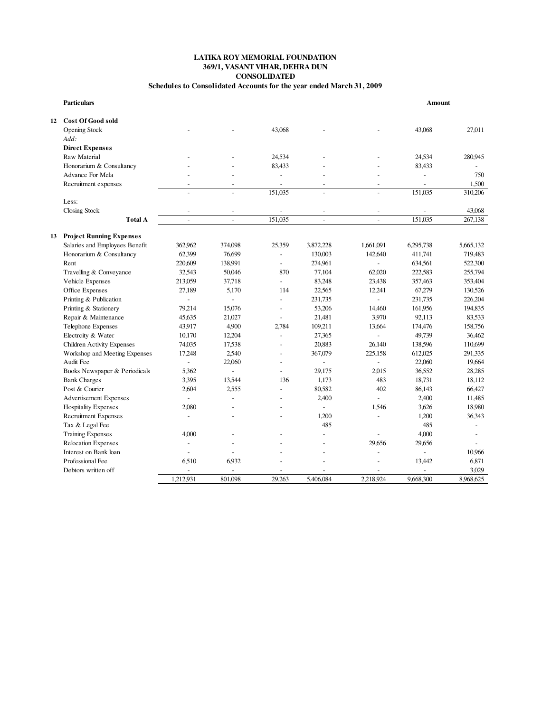#### **CONSOLIDATED Schedules to Consolidated Accounts for the year ended March 31, 2009 369/1, VASANT VIHAR, DEHRA DUN LATIKA ROY MEMORIAL FOUNDATION**

| <b>Particulars</b> |                                   |                          |                          |                          |                |                          | Amount                   |           |  |
|--------------------|-----------------------------------|--------------------------|--------------------------|--------------------------|----------------|--------------------------|--------------------------|-----------|--|
| 12                 | <b>Cost Of Good sold</b>          |                          |                          |                          |                |                          |                          |           |  |
|                    | Opening Stock                     |                          |                          | 43,068                   |                |                          | 43,068                   | 27,011    |  |
|                    | Add:                              |                          |                          |                          |                |                          |                          |           |  |
|                    | <b>Direct Expenses</b>            |                          |                          |                          |                |                          |                          |           |  |
|                    | Raw Material                      |                          |                          | 24,534                   |                |                          | 24,534                   | 280,945   |  |
|                    | Honorarium & Consultancy          |                          |                          | 83,433                   |                |                          | 83,433                   |           |  |
|                    | Advance For Mela                  |                          |                          | $\overline{a}$           |                |                          | $\overline{\phantom{a}}$ | 750       |  |
|                    | Recruitment expenses              |                          | $\overline{a}$           |                          | $\overline{a}$ | $\overline{a}$           | ÷,                       | 1,500     |  |
|                    |                                   |                          |                          | 151,035                  | $\overline{a}$ | $\overline{a}$           | 151,035                  | 310,206   |  |
|                    | Less:                             |                          |                          |                          |                |                          |                          |           |  |
|                    | Closing Stock                     |                          |                          |                          |                | $\overline{\phantom{a}}$ |                          | 43,068    |  |
|                    | <b>Total A</b>                    | $\overline{\phantom{a}}$ | $\overline{\phantom{a}}$ | 151.035                  | $\mathbf{r}$   | $\overline{a}$           | 151.035                  | 267,138   |  |
| 13                 | <b>Project Running Expenses</b>   |                          |                          |                          |                |                          |                          |           |  |
|                    | Salaries and Employees Benefit    | 362,962                  | 374,098                  | 25,359                   | 3,872,228      | 1,661,091                | 6,295,738                | 5,665,132 |  |
|                    | Honorarium & Consultancy          | 62,399                   | 76,699                   | $\sim$                   | 130,003        | 142,640                  | 411,741                  | 719,483   |  |
|                    | Rent                              | 220,609                  | 138,991                  | $\overline{a}$           | 274,961        | $\overline{a}$           | 634,561                  | 522,300   |  |
|                    | Travelling & Conveyance           | 32,543                   | 50,046                   | 870                      | 77,104         | 62,020                   | 222,583                  | 255,794   |  |
|                    | Vehicle Expenses                  | 213,059                  | 37,718                   | $\overline{\phantom{a}}$ | 83,248         | 23,438                   | 357,463                  | 353,404   |  |
|                    | Office Expenses                   | 27,189                   | 5,170                    | 114                      | 22,565         | 12,241                   | 67,279                   | 130,526   |  |
|                    | Printing & Publication            | $\overline{\phantom{a}}$ | $\overline{\phantom{a}}$ | $\overline{a}$           | 231,735        | $\overline{a}$           | 231,735                  | 226,204   |  |
|                    | Printing & Stationery             | 79,214                   | 15,076                   | ٠                        | 53,206         | 14,460                   | 161,956                  | 194,835   |  |
|                    | Repair & Maintenance              | 45,635                   | 21,027                   | $\overline{\phantom{a}}$ | 21,481         | 3,970                    | 92,113                   | 83,533    |  |
|                    | Telephone Expenses                | 43,917                   | 4,900                    | 2,784                    | 109,211        | 13,664                   | 174,476                  | 158,756   |  |
|                    | Electrcity & Water                | 10,170                   | 12,204                   | $\overline{a}$           | 27,365         | $\overline{\phantom{a}}$ | 49,739                   | 36,462    |  |
|                    | <b>Children Activity Expenses</b> | 74,035                   | 17,538                   | $\overline{a}$           | 20,883         | 26,140                   | 138,596                  | 110,699   |  |
|                    | Workshop and Meeting Expenses     | 17,248                   | 2,540                    | $\overline{\phantom{a}}$ | 367,079        | 225,158                  | 612,025                  | 291,335   |  |
|                    | Audit Fee                         | $\overline{a}$           | 22,060                   |                          |                |                          | 22,060                   | 19,664    |  |
|                    | Books Newspaper & Periodicals     | 5,362                    | $\overline{\phantom{a}}$ |                          | 29,175         | 2,015                    | 36,552                   | 28,285    |  |
|                    | <b>Bank Charges</b>               | 3,395                    | 13,544                   | 136                      | 1,173          | 483                      | 18,731                   | 18,112    |  |
|                    | Post & Courier                    | 2,604                    | 2,555                    | ÷,                       | 80.582         | 402                      | 86,143                   | 66,427    |  |
|                    | <b>Advertisement Expenses</b>     | $\overline{a}$           | $\overline{\phantom{a}}$ |                          | 2,400          |                          | 2,400                    | 11,485    |  |
|                    | <b>Hospitality Expenses</b>       | 2,080                    |                          |                          | $\overline{a}$ | 1,546                    | 3,626                    | 18,980    |  |
|                    | <b>Recruitment Expenses</b>       | $\overline{a}$           | $\overline{\phantom{a}}$ |                          | 1,200          | ÷,                       | 1,200                    | 36,343    |  |
|                    | Tax & Legal Fee                   |                          |                          |                          | 485            |                          | 485                      | $\sim$    |  |
|                    | <b>Training Expenses</b>          | 4,000                    |                          |                          | $\overline{a}$ |                          | 4,000                    | $\sim$    |  |
|                    | <b>Relocation Expenses</b>        |                          |                          |                          |                | 29.656                   | 29,656                   |           |  |
|                    | Interest on Bank loan             | $\overline{\phantom{a}}$ |                          |                          |                |                          | $\overline{\phantom{a}}$ | 10,966    |  |
|                    | Professional Fee                  | 6,510                    | 6,932                    | ä,                       | L,             | $\overline{\phantom{a}}$ | 13,442                   | 6,871     |  |
|                    | Debtors written off               | $\overline{a}$           | $\overline{a}$           | ÷                        |                | $\overline{a}$           | ٠                        | 3,029     |  |
|                    |                                   | 1,212,931                | 801,098                  | 29,263                   | 5.406.084      | 2,218,924                | 9,668,300                | 8.968,625 |  |